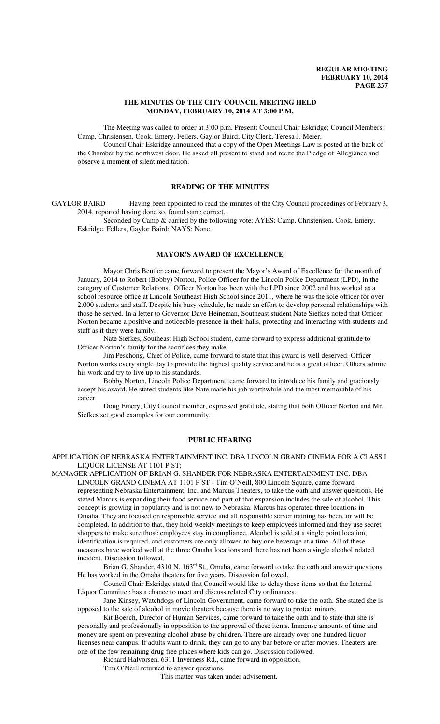#### **THE MINUTES OF THE CITY COUNCIL MEETING HELD MONDAY, FEBRUARY 10, 2014 AT 3:00 P.M.**

The Meeting was called to order at 3:00 p.m. Present: Council Chair Eskridge; Council Members: Camp, Christensen, Cook, Emery, Fellers, Gaylor Baird; City Clerk, Teresa J. Meier.

Council Chair Eskridge announced that a copy of the Open Meetings Law is posted at the back of the Chamber by the northwest door. He asked all present to stand and recite the Pledge of Allegiance and observe a moment of silent meditation.

## **READING OF THE MINUTES**

GAYLOR BAIRD Having been appointed to read the minutes of the City Council proceedings of February 3, 2014, reported having done so, found same correct.

Seconded by Camp & carried by the following vote: AYES: Camp, Christensen, Cook, Emery, Eskridge, Fellers, Gaylor Baird; NAYS: None.

# **MAYOR'S AWARD OF EXCELLENCE**

Mayor Chris Beutler came forward to present the Mayor's Award of Excellence for the month of January, 2014 to Robert (Bobby) Norton, Police Officer for the Lincoln Police Department (LPD), in the category of Customer Relations. Officer Norton has been with the LPD since 2002 and has worked as a school resource office at Lincoln Southeast High School since 2011, where he was the sole officer for over 2,000 students and staff. Despite his busy schedule, he made an effort to develop personal relationships with those he served. In a letter to Governor Dave Heineman, Southeast student Nate Siefkes noted that Officer Norton became a positive and noticeable presence in their halls, protecting and interacting with students and staff as if they were family.

Nate Siefkes, Southeast High School student, came forward to express additional gratitude to Officer Norton's family for the sacrifices they make.

Jim Peschong, Chief of Police, came forward to state that this award is well deserved. Officer Norton works every single day to provide the highest quality service and he is a great officer. Others admire his work and try to live up to his standards.

Bobby Norton, Lincoln Police Department, came forward to introduce his family and graciously accept his award. He stated students like Nate made his job worthwhile and the most memorable of his career.

Doug Emery, City Council member, expressed gratitude, stating that both Officer Norton and Mr. Siefkes set good examples for our community.

# **PUBLIC HEARING**

APPLICATION OF NEBRASKA ENTERTAINMENT INC. DBA LINCOLN GRAND CINEMA FOR A CLASS I LIQUOR LICENSE AT 1101 P ST;

MANAGER APPLICATION OF BRIAN G. SHANDER FOR NEBRASKA ENTERTAINMENT INC. DBA LINCOLN GRAND CINEMA AT 1101 P ST - Tim O'Neill, 800 Lincoln Square, came forward representing Nebraska Entertainment, Inc. and Marcus Theaters, to take the oath and answer questions. He stated Marcus is expanding their food service and part of that expansion includes the sale of alcohol. This concept is growing in popularity and is not new to Nebraska. Marcus has operated three locations in Omaha. They are focused on responsible service and all responsible server training has been, or will be completed. In addition to that, they hold weekly meetings to keep employees informed and they use secret shoppers to make sure those employees stay in compliance. Alcohol is sold at a single point location, identification is required, and customers are only allowed to buy one beverage at a time. All of these measures have worked well at the three Omaha locations and there has not been a single alcohol related incident. Discussion followed.

Brian G. Shander, 4310 N. 163<sup>rd</sup> St., Omaha, came forward to take the oath and answer questions. He has worked in the Omaha theaters for five years. Discussion followed.

Council Chair Eskridge stated that Council would like to delay these items so that the Internal Liquor Committee has a chance to meet and discuss related City ordinances.

Jane Kinsey, Watchdogs of Lincoln Government, came forward to take the oath. She stated she is opposed to the sale of alcohol in movie theaters because there is no way to protect minors.

Kit Boesch, Director of Human Services, came forward to take the oath and to state that she is personally and professionally in opposition to the approval of these items. Immense amounts of time and money are spent on preventing alcohol abuse by children. There are already over one hundred liquor licenses near campus. If adults want to drink, they can go to any bar before or after movies. Theaters are one of the few remaining drug free places where kids can go. Discussion followed.

Richard Halvorsen, 6311 Inverness Rd., came forward in opposition.

Tim O'Neill returned to answer questions.

This matter was taken under advisement.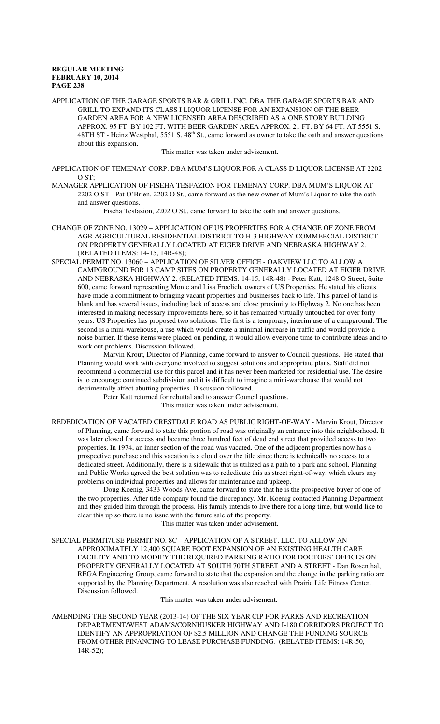APPLICATION OF THE GARAGE SPORTS BAR & GRILL INC. DBA THE GARAGE SPORTS BAR AND GRILL TO EXPAND ITS CLASS I LIQUOR LICENSE FOR AN EXPANSION OF THE BEER GARDEN AREA FOR A NEW LICENSED AREA DESCRIBED AS A ONE STORY BUILDING APPROX. 95 FT. BY 102 FT. WITH BEER GARDEN AREA APPROX. 21 FT. BY 64 FT. AT 5551 S. 48TH ST - Heinz Westphal, 5551 S. 48<sup>th</sup> St., came forward as owner to take the oath and answer questions about this expansion.

This matter was taken under advisement.

APPLICATION OF TEMENAY CORP. DBA MUM'S LIQUOR FOR A CLASS D LIQUOR LICENSE AT 2202  $O ST<sup>1</sup>$ 

MANAGER APPLICATION OF FISEHA TESFAZION FOR TEMENAY CORP. DBA MUM'S LIQUOR AT 2202 O ST - Pat O'Brien, 2202 O St., came forward as the new owner of Mum's Liquor to take the oath and answer questions.

Fiseha Tesfazion, 2202 O St., came forward to take the oath and answer questions.

- CHANGE OF ZONE NO. 13029 APPLICATION OF US PROPERTIES FOR A CHANGE OF ZONE FROM AGR AGRICULTURAL RESIDENTIAL DISTRICT TO H-3 HIGHWAY COMMERCIAL DISTRICT ON PROPERTY GENERALLY LOCATED AT EIGER DRIVE AND NEBRASKA HIGHWAY 2. (RELATED ITEMS: 14-15, 14R-48);
- SPECIAL PERMIT NO. 13060 APPLICATION OF SILVER OFFICE OAKVIEW LLC TO ALLOW A CAMPGROUND FOR 13 CAMP SITES ON PROPERTY GENERALLY LOCATED AT EIGER DRIVE AND NEBRASKA HIGHWAY 2. (RELATED ITEMS: 14-15, 14R-48) - Peter Katt, 1248 O Street, Suite 600, came forward representing Monte and Lisa Froelich, owners of US Properties. He stated his clients have made a commitment to bringing vacant properties and businesses back to life. This parcel of land is blank and has several issues, including lack of access and close proximity to Highway 2. No one has been interested in making necessary improvements here, so it has remained virtually untouched for over forty years. US Properties has proposed two solutions. The first is a temporary, interim use of a campground. The second is a mini-warehouse, a use which would create a minimal increase in traffic and would provide a noise barrier. If these items were placed on pending, it would allow everyone time to contribute ideas and to work out problems. Discussion followed.

Marvin Krout, Director of Planning, came forward to answer to Council questions. He stated that Planning would work with everyone involved to suggest solutions and appropriate plans. Staff did not recommend a commercial use for this parcel and it has never been marketed for residential use. The desire is to encourage continued subdivision and it is difficult to imagine a mini-warehouse that would not detrimentally affect abutting properties. Discussion followed.

Peter Katt returned for rebuttal and to answer Council questions.

This matter was taken under advisement.

REDEDICATION OF VACATED CRESTDALE ROAD AS PUBLIC RIGHT-OF-WAY - Marvin Krout, Director of Planning, came forward to state this portion of road was originally an entrance into this neighborhood. It was later closed for access and became three hundred feet of dead end street that provided access to two properties. In 1974, an inner section of the road was vacated. One of the adjacent properties now has a prospective purchase and this vacation is a cloud over the title since there is technically no access to a dedicated street. Additionally, there is a sidewalk that is utilized as a path to a park and school. Planning and Public Works agreed the best solution was to rededicate this as street right-of-way, which clears any problems on individual properties and allows for maintenance and upkeep.

 Doug Koenig, 3433 Woods Ave, came forward to state that he is the prospective buyer of one of the two properties. After title company found the discrepancy, Mr. Koenig contacted Planning Department and they guided him through the process. His family intends to live there for a long time, but would like to clear this up so there is no issue with the future sale of the property.

This matter was taken under advisement.

SPECIAL PERMIT/USE PERMIT NO. 8C – APPLICATION OF A STREET, LLC, TO ALLOW AN APPROXIMATELY 12,400 SQUARE FOOT EXPANSION OF AN EXISTING HEALTH CARE FACILITY AND TO MODIFY THE REQUIRED PARKING RATIO FOR DOCTORS' OFFICES ON PROPERTY GENERALLY LOCATED AT SOUTH 70TH STREET AND A STREET - Dan Rosenthal, REGA Engineering Group, came forward to state that the expansion and the change in the parking ratio are supported by the Planning Department. A resolution was also reached with Prairie Life Fitness Center. Discussion followed.

This matter was taken under advisement.

AMENDING THE SECOND YEAR (2013-14) OF THE SIX YEAR CIP FOR PARKS AND RECREATION DEPARTMENT/WEST ADAMS/CORNHUSKER HIGHWAY AND I-180 CORRIDORS PROJECT TO IDENTIFY AN APPROPRIATION OF \$2.5 MILLION AND CHANGE THE FUNDING SOURCE FROM OTHER FINANCING TO LEASE PURCHASE FUNDING. (RELATED ITEMS: 14R-50, 14R-52);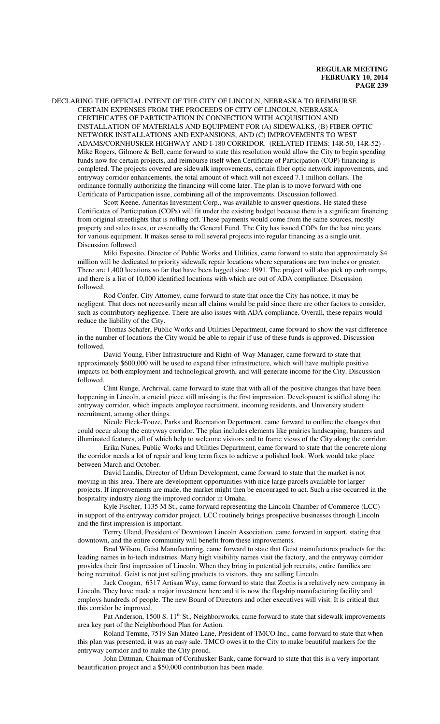DECLARING THE OFFICIAL INTENT OF THE CITY OF LINCOLN, NEBRASKA TO REIMBURSE CERTAIN EXPENSES FROM THE PROCEEDS OF CITY OF LINCOLN, NEBRASKA CERTIFICATES OF PARTICIPATION IN CONNECTION WITH ACQUISITION AND INSTALLATION OF MATERIALS AND EQUIPMENT FOR (A) SIDEWALKS, (B) FIBER OPTIC NETWORK INSTALLATIONS AND EXPANSIONS, AND (C) IMPROVEMENTS TO WEST ADAMS/CORNHUSKER HIGHWAY AND I-180 CORRIDOR. (RELATED ITEMS: 14R-50, 14R-52) - Mike Rogers, Gilmore  $\&$  Bell, came forward to state this resolution would allow the City to begin spending funds now for certain projects, and reimburse itself when Certificate of Participation (COP) financing is completed. The projects covered are sidewalk improvements, certain fiber optic network improvements, and entryway corridor enhancements, the total amount of which will not exceed 7.1 million dollars. The ordinance formally authorizing the financing will come later. The plan is to move forward with one Certificate of Participation issue, combining all of the improvements. Discussion followed.

Scott Keene, Ameritas Investment Corp., was available to answer questions. He stated these Certificates of Participation (COPs) will fit under the existing budget because there is a significant financing from original streetlights that is rolling off. These payments would come from the same sources, mostly property and sales taxes, or essentially the General Fund. The City has issued COPs for the last nine years for various equipment. It makes sense to roll several projects into regular financing as a single unit. Discussion followed.

Miki Esposito, Director of Public Works and Utilities, came forward to state that approximately \$4 million will be dedicated to priority sidewalk repair locations where separations are two inches or greater. There are 1,400 locations so far that have been logged since 1991. The project will also pick up curb ramps, and there is a list of 10,000 identified locations with which are out of ADA compliance. Discussion followed.

Rod Confer, City Attorney, came forward to state that once the City has notice, it may be negligent. That does not necessarily mean all claims would be paid since there are other factors to consider, such as contributory negligence. There are also issues with ADA compliance. Overall, these repairs would reduce the liability of the City.

Thomas Schafer, Public Works and Utilities Department, came forward to show the vast difference in the number of locations the City would be able to repair if use of these funds is approved. Discussion followed.

David Young, Fiber Infrastructure and Right-of-Way Manager, came forward to state that approximately \$600,000 will be used to expand fiber infrastructure, which will have multiple positive impacts on both employment and technological growth, and will generate income for the City. Discussion followed.

Clint Runge, Archrival, came forward to state that with all of the positive changes that have been happening in Lincoln, a crucial piece still missing is the first impression. Development is stifled along the entryway corridor, which impacts employee recruitment, incoming residents, and University student recruitment, among other things.

Nicole Fleck-Tooze, Parks and Recreation Department, came forward to outline the changes that could occur along the entryway corridor. The plan includes elements like prairies landscaping, banners and illuminated features, all of which help to welcome visitors and to frame views of the City along the corridor.

Erika Nunes, Public Works and Utilities Department, came forward to state that the concrete along the corridor needs a lot of repair and long term fixes to achieve a polished look. Work would take place between March and October.

David Landis, Director of Urban Development, came forward to state that the market is not moving in this area. There are development opportunities with nice large parcels available for larger projects. If improvements are made, the market might then be encouraged to act. Such a rise occurred in the hospitality industry along the improved corridor in Omaha.

Kyle Fischer, 1135 M St., came forward representing the Lincoln Chamber of Commerce (LCC) in support of the entryway corridor project. LCC routinely brings prospective businesses through Lincoln and the first impression is important.

Terrry Uland, President of Downtown Lincoln Association, came forward in support, stating that downtown, and the entire community will benefit from these improvements.

Brad Wilson, Geist Manufacturing, came forward to state that Geist manufactures products for the leading names in hi-tech industries. Many high visibility names visit the factory, and the entryway corridor provides their first impression of Lincoln. When they bring in potential job recruits, entire families are being recruited. Geist is not just selling products to visitors, they are selling Lincoln.

Jack Coogan, 6317 Artisan Way, came forward to state that Zoetis is a relatively new company in Lincoln. They have made a major investment here and it is now the flagship manufacturing facility and employs hundreds of people. The new Board of Directors and other executives will visit. It is critical that this corridor be improved.

Pat Anderson, 1500 S. 11<sup>th</sup> St., Neighborworks, came forward to state that sidewalk improvements area key part of the Neighborhood Plan for Action.

Roland Temme, 7519 San Mateo Lane, President of TMCO Inc., came forward to state that when this plan was presented, it was an easy sale. TMCO owes it to the City to make beautiful markers for the entryway corridor and to make the City proud.

John Dittman, Chairman of Cornhusker Bank, came forward to state that this is a very important beautification project and a \$50,000 contribution has been made.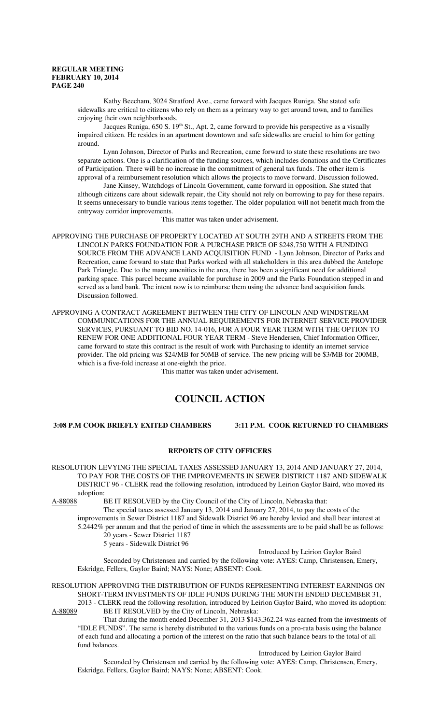Kathy Beecham, 3024 Stratford Ave., came forward with Jacques Runiga. She stated safe sidewalks are critical to citizens who rely on them as a primary way to get around town, and to families enjoying their own neighborhoods.

Jacques Runiga,  $650$  S.  $19<sup>th</sup>$  St., Apt. 2, came forward to provide his perspective as a visually impaired citizen. He resides in an apartment downtown and safe sidewalks are crucial to him for getting around.

Lynn Johnson, Director of Parks and Recreation, came forward to state these resolutions are two separate actions. One is a clarification of the funding sources, which includes donations and the Certificates of Participation. There will be no increase in the commitment of general tax funds. The other item is approval of a reimbursement resolution which allows the projects to move forward. Discussion followed.

Jane Kinsey, Watchdogs of Lincoln Government, came forward in opposition. She stated that although citizens care about sidewalk repair, the City should not rely on borrowing to pay for these repairs. It seems unnecessary to bundle various items together. The older population will not benefit much from the entryway corridor improvements.

This matter was taken under advisement.

APPROVING THE PURCHASE OF PROPERTY LOCATED AT SOUTH 29TH AND A STREETS FROM THE LINCOLN PARKS FOUNDATION FOR A PURCHASE PRICE OF \$248,750 WITH A FUNDING SOURCE FROM THE ADVANCE LAND ACQUISITION FUND - Lynn Johnson, Director of Parks and Recreation, came forward to state that Parks worked with all stakeholders in this area dubbed the Antelope Park Triangle. Due to the many amenities in the area, there has been a significant need for additional parking space. This parcel became available for purchase in 2009 and the Parks Foundation stepped in and served as a land bank. The intent now is to reimburse them using the advance land acquisition funds. Discussion followed.

APPROVING A CONTRACT AGREEMENT BETWEEN THE CITY OF LINCOLN AND WINDSTREAM COMMUNICATIONS FOR THE ANNUAL REQUIREMENTS FOR INTERNET SERVICE PROVIDER SERVICES, PURSUANT TO BID NO. 14-016, FOR A FOUR YEAR TERM WITH THE OPTION TO RENEW FOR ONE ADDITIONAL FOUR YEAR TERM - Steve Hendersen, Chief Information Officer, came forward to state this contract is the result of work with Purchasing to identify an internet service provider. The old pricing was \$24/MB for 50MB of service. The new pricing will be \$3/MB for 200MB, which is a five-fold increase at one-eighth the price.

This matter was taken under advisement.

# **COUNCIL ACTION**

# **3:08 P.M COOK BRIEFLY EXITED CHAMBERS 3:11 P.M. COOK RETURNED TO CHAMBERS**

#### **REPORTS OF CITY OFFICERS**

RESOLUTION LEVYING THE SPECIAL TAXES ASSESSED JANUARY 13, 2014 AND JANUARY 27, 2014, TO PAY FOR THE COSTS OF THE IMPROVEMENTS IN SEWER DISTRICT 1187 AND SIDEWALK DISTRICT 96 - CLERK read the following resolution, introduced by Leirion Gaylor Baird, who moved its adoption:

A-88088 BE IT RESOLVED by the City Council of the City of Lincoln, Nebraska that:

The special taxes assessed January 13, 2014 and January 27, 2014, to pay the costs of the improvements in Sewer District 1187 and Sidewalk District 96 are hereby levied and shall bear interest at 5.2442% per annum and that the period of time in which the assessments are to be paid shall be as follows: 20 years - Sewer District 1187

5 years - Sidewalk District 96

Introduced by Leirion Gaylor Baird

Seconded by Christensen and carried by the following vote: AYES: Camp, Christensen, Emery, Eskridge, Fellers, Gaylor Baird; NAYS: None; ABSENT: Cook.

RESOLUTION APPROVING THE DISTRIBUTION OF FUNDS REPRESENTING INTEREST EARNINGS ON SHORT-TERM INVESTMENTS OF IDLE FUNDS DURING THE MONTH ENDED DECEMBER 31,

2013 - CLERK read the following resolution, introduced by Leirion Gaylor Baird, who moved its adoption:<br>A-88089 BE IT RESOLVED by the City of Lincoln, Nebraska: BE IT RESOLVED by the City of Lincoln, Nebraska:

That during the month ended December 31, 2013 \$143,362.24 was earned from the investments of "IDLE FUNDS". The same is hereby distributed to the various funds on a pro-rata basis using the balance of each fund and allocating a portion of the interest on the ratio that such balance bears to the total of all fund balances.

Introduced by Leirion Gaylor Baird Seconded by Christensen and carried by the following vote: AYES: Camp, Christensen, Emery, Eskridge, Fellers, Gaylor Baird; NAYS: None; ABSENT: Cook.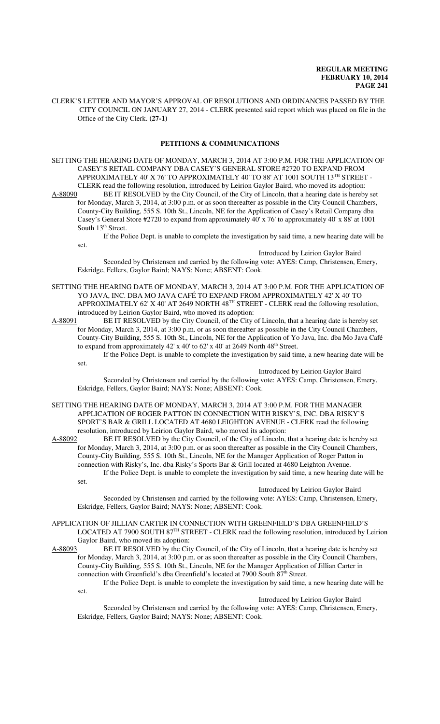CLERK'S LETTER AND MAYOR'S APPROVAL OF RESOLUTIONS AND ORDINANCES PASSED BY THE CITY COUNCIL ON JANUARY 27, 2014 - CLERK presented said report which was placed on file in the Office of the City Clerk. **(27-1)**

# **PETITIONS & COMMUNICATIONS**

SETTING THE HEARING DATE OF MONDAY, MARCH 3, 2014 AT 3:00 P.M. FOR THE APPLICATION OF CASEY'S RETAIL COMPANY DBA CASEY'S GENERAL STORE #2720 TO EXPAND FROM APPROXIMATELY 40' X 76' TO APPROXIMATELY 40' TO 88' AT 1001 SOUTH 13TH STREET -CLERK read the following resolution, introduced by Leirion Gaylor Baird, who moved its adoption:<br>A-88090 BE IT RESOLVED by the City Council, of the City of Lincoln, that a hearing date is hereby

BE IT RESOLVED by the City Council, of the City of Lincoln, that a hearing date is hereby set for Monday, March 3, 2014, at 3:00 p.m. or as soon thereafter as possible in the City Council Chambers, County-City Building, 555 S. 10th St., Lincoln, NE for the Application of Casey's Retail Company dba Casey's General Store #2720 to expand from approximately 40' x 76' to approximately 40' x 88' at 1001 South 13<sup>th</sup> Street.

set.

set.

set.

If the Police Dept. is unable to complete the investigation by said time, a new hearing date will be

#### Introduced by Leirion Gaylor Baird

Seconded by Christensen and carried by the following vote: AYES: Camp, Christensen, Emery, Eskridge, Fellers, Gaylor Baird; NAYS: None; ABSENT: Cook.

SETTING THE HEARING DATE OF MONDAY, MARCH 3, 2014 AT 3:00 P.M. FOR THE APPLICATION OF YO JAVA, INC. DBA MO JAVA CAFÉ TO EXPAND FROM APPROXIMATELY 42' X 40' TO APPROXIMATELY 62' X 40' AT 2649 NORTH  $48<sup>TH</sup>$  STREET - CLERK read the following resolution, introduced by Leirion Gaylor Baird, who moved its adoption:

A-88091 BE IT RESOLVED by the City Council, of the City of Lincoln, that a hearing date is hereby set for Monday, March 3, 2014, at 3:00 p.m. or as soon thereafter as possible in the City Council Chambers, County-City Building, 555 S. 10th St., Lincoln, NE for the Application of Yo Java, Inc. dba Mo Java Café to expand from approximately 42' x 40' to 62' x 40' at 2649 North 48<sup>th</sup> Street.

If the Police Dept. is unable to complete the investigation by said time, a new hearing date will be

Introduced by Leirion Gaylor Baird

Seconded by Christensen and carried by the following vote: AYES: Camp, Christensen, Emery, Eskridge, Fellers, Gaylor Baird; NAYS: None; ABSENT: Cook.

SETTING THE HEARING DATE OF MONDAY, MARCH 3, 2014 AT 3:00 P.M. FOR THE MANAGER APPLICATION OF ROGER PATTON IN CONNECTION WITH RISKY'S, INC. DBA RISKY'S SPORT'S BAR & GRILL LOCATED AT 4680 LEIGHTON AVENUE - CLERK read the following resolution, introduced by Leirion Gaylor Baird, who moved its adoption:

A-88092 BE IT RESOLVED by the City Council, of the City of Lincoln, that a hearing date is hereby set for Monday, March 3, 2014, at 3:00 p.m. or as soon thereafter as possible in the City Council Chambers, County-City Building, 555 S. 10th St., Lincoln, NE for the Manager Application of Roger Patton in connection with Risky's, Inc. dba Risky's Sports Bar & Grill located at 4680 Leighton Avenue. If the Police Dept. is unable to complete the investigation by said time, a new hearing date will be

Introduced by Leirion Gaylor Baird

Seconded by Christensen and carried by the following vote: AYES: Camp, Christensen, Emery, Eskridge, Fellers, Gaylor Baird; NAYS: None; ABSENT: Cook.

APPLICATION OF JILLIAN CARTER IN CONNECTION WITH GREENFIELD'S DBA GREENFIELD'S LOCATED AT 7900 SOUTH 87TH STREET - CLERK read the following resolution, introduced by Leirion Gaylor Baird, who moved its adoption:

A-88093 BE IT RESOLVED by the City Council, of the City of Lincoln, that a hearing date is hereby set for Monday, March 3, 2014, at 3:00 p.m. or as soon thereafter as possible in the City Council Chambers, County-City Building, 555 S. 10th St., Lincoln, NE for the Manager Application of Jillian Carter in connection with Greenfield's dba Greenfield's located at 7900 South 87<sup>th</sup> Street.

If the Police Dept. is unable to complete the investigation by said time, a new hearing date will be set.

#### Introduced by Leirion Gaylor Baird

Seconded by Christensen and carried by the following vote: AYES: Camp, Christensen, Emery, Eskridge, Fellers, Gaylor Baird; NAYS: None; ABSENT: Cook.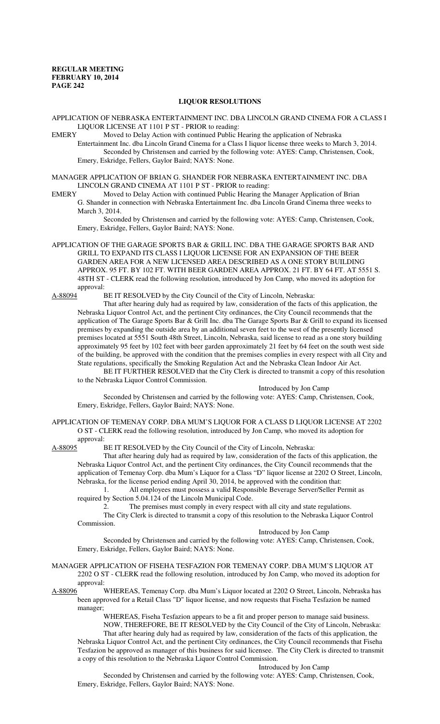#### **LIQUOR RESOLUTIONS**

APPLICATION OF NEBRASKA ENTERTAINMENT INC. DBA LINCOLN GRAND CINEMA FOR A CLASS I LIQUOR LICENSE AT 1101 P ST - PRIOR to reading:<br>EMERY Moved to Delay Action with continued Public F

Moved to Delay Action with continued Public Hearing the application of Nebraska Entertainment Inc. dba Lincoln Grand Cinema for a Class I liquor license three weeks to March 3, 2014. Seconded by Christensen and carried by the following vote: AYES: Camp, Christensen, Cook,

Emery, Eskridge, Fellers, Gaylor Baird; NAYS: None.

MANAGER APPLICATION OF BRIAN G. SHANDER FOR NEBRASKA ENTERTAINMENT INC. DBA LINCOLN GRAND CINEMA AT 1101 P ST - PRIOR to reading:

EMERY Moved to Delay Action with continued Public Hearing the Manager Application of Brian G. Shander in connection with Nebraska Entertainment Inc. dba Lincoln Grand Cinema three weeks to March 3, 2014.

Seconded by Christensen and carried by the following vote: AYES: Camp, Christensen, Cook, Emery, Eskridge, Fellers, Gaylor Baird; NAYS: None.

APPLICATION OF THE GARAGE SPORTS BAR & GRILL INC. DBA THE GARAGE SPORTS BAR AND GRILL TO EXPAND ITS CLASS I LIQUOR LICENSE FOR AN EXPANSION OF THE BEER GARDEN AREA FOR A NEW LICENSED AREA DESCRIBED AS A ONE STORY BUILDING APPROX. 95 FT. BY 102 FT. WITH BEER GARDEN AREA APPROX. 21 FT. BY 64 FT. AT 5551 S. 48TH ST - CLERK read the following resolution, introduced by Jon Camp, who moved its adoption for approval:<br>A-88094 I

BE IT RESOLVED by the City Council of the City of Lincoln, Nebraska:

That after hearing duly had as required by law, consideration of the facts of this application, the Nebraska Liquor Control Act, and the pertinent City ordinances, the City Council recommends that the application of The Garage Sports Bar & Grill Inc. dba The Garage Sports Bar & Grill to expand its licensed premises by expanding the outside area by an additional seven feet to the west of the presently licensed premises located at 5551 South 48th Street, Lincoln, Nebraska, said license to read as a one story building approximately 95 feet by 102 feet with beer garden approximately 21 feet by 64 feet on the south west side of the building, be approved with the condition that the premises complies in every respect with all City and State regulations, specifically the Smoking Regulation Act and the Nebraska Clean Indoor Air Act.

BE IT FURTHER RESOLVED that the City Clerk is directed to transmit a copy of this resolution to the Nebraska Liquor Control Commission.

Introduced by Jon Camp Seconded by Christensen and carried by the following vote: AYES: Camp, Christensen, Cook,

Emery, Eskridge, Fellers, Gaylor Baird; NAYS: None.

APPLICATION OF TEMENAY CORP. DBA MUM'S LIQUOR FOR A CLASS D LIQUOR LICENSE AT 2202 O ST - CLERK read the following resolution, introduced by Jon Camp, who moved its adoption for approval:<br>A-88095 I

BE IT RESOLVED by the City Council of the City of Lincoln, Nebraska:

That after hearing duly had as required by law, consideration of the facts of this application, the Nebraska Liquor Control Act, and the pertinent City ordinances, the City Council recommends that the application of Temenay Corp. dba Mum's Liquor for a Class "D" liquor license at 2202 O Street, Lincoln, Nebraska, for the license period ending April 30, 2014, be approved with the condition that:

1. All employees must possess a valid Responsible Beverage Server/Seller Permit as required by Section 5.04.124 of the Lincoln Municipal Code.

2. The premises must comply in every respect with all city and state regulations.

The City Clerk is directed to transmit a copy of this resolution to the Nebraska Liquor Control Commission.

Introduced by Jon Camp

Seconded by Christensen and carried by the following vote: AYES: Camp, Christensen, Cook, Emery, Eskridge, Fellers, Gaylor Baird; NAYS: None.

#### MANAGER APPLICATION OF FISEHA TESFAZION FOR TEMENAY CORP. DBA MUM'S LIQUOR AT 2202 O ST - CLERK read the following resolution, introduced by Jon Camp, who moved its adoption for approval:

A-88096 WHEREAS, Temenay Corp. dba Mum's Liquor located at 2202 O Street, Lincoln, Nebraska has been approved for a Retail Class "D" liquor license, and now requests that Fiseha Tesfazion be named manager;

> WHEREAS, Fiseha Tesfazion appears to be a fit and proper person to manage said business. NOW, THEREFORE, BE IT RESOLVED by the City Council of the City of Lincoln, Nebraska:

That after hearing duly had as required by law, consideration of the facts of this application, the Nebraska Liquor Control Act, and the pertinent City ordinances, the City Council recommends that Fiseha Tesfazion be approved as manager of this business for said licensee. The City Clerk is directed to transmit a copy of this resolution to the Nebraska Liquor Control Commission.

Introduced by Jon Camp

Seconded by Christensen and carried by the following vote: AYES: Camp, Christensen, Cook, Emery, Eskridge, Fellers, Gaylor Baird; NAYS: None.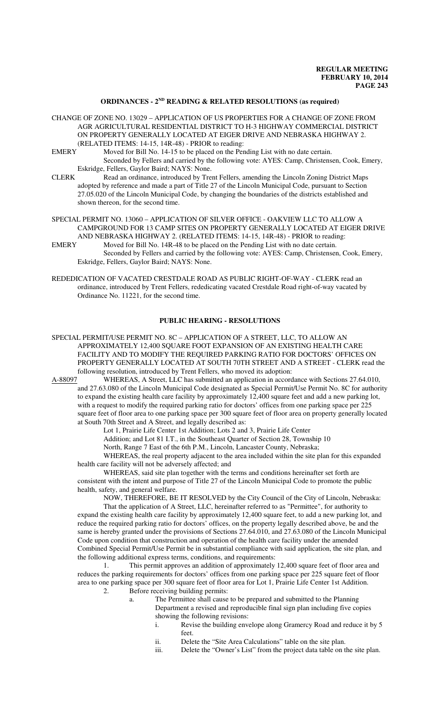#### **ORDINANCES - 2ND READING & RELATED RESOLUTIONS (as required)**

- CHANGE OF ZONE NO. 13029 APPLICATION OF US PROPERTIES FOR A CHANGE OF ZONE FROM AGR AGRICULTURAL RESIDENTIAL DISTRICT TO H-3 HIGHWAY COMMERCIAL DISTRICT ON PROPERTY GENERALLY LOCATED AT EIGER DRIVE AND NEBRASKA HIGHWAY 2. (RELATED ITEMS: 14-15, 14R-48) - PRIOR to reading:
- EMERY Moved for Bill No. 14-15 to be placed on the Pending List with no date certain. Seconded by Fellers and carried by the following vote: AYES: Camp, Christensen, Cook, Emery, Eskridge, Fellers, Gaylor Baird; NAYS: None.
- CLERK Read an ordinance, introduced by Trent Fellers, amending the Lincoln Zoning District Maps adopted by reference and made a part of Title 27 of the Lincoln Municipal Code, pursuant to Section 27.05.020 of the Lincoln Municipal Code, by changing the boundaries of the districts established and shown thereon, for the second time.
- SPECIAL PERMIT NO. 13060 APPLICATION OF SILVER OFFICE OAKVIEW LLC TO ALLOW A CAMPGROUND FOR 13 CAMP SITES ON PROPERTY GENERALLY LOCATED AT EIGER DRIVE AND NEBRASKA HIGHWAY 2. (RELATED ITEMS: 14-15, 14R-48) - PRIOR to reading:<br>EMERY Moved for Bill No. 14R-48 to be placed on the Pending List with no date certain.
- Moved for Bill No. 14R-48 to be placed on the Pending List with no date certain. Seconded by Fellers and carried by the following vote: AYES: Camp, Christensen, Cook, Emery, Eskridge, Fellers, Gaylor Baird; NAYS: None.
- REDEDICATION OF VACATED CRESTDALE ROAD AS PUBLIC RIGHT-OF-WAY CLERK read an ordinance, introduced by Trent Fellers, rededicating vacated Crestdale Road right-of-way vacated by Ordinance No. 11221, for the second time.

#### **PUBLIC HEARING - RESOLUTIONS**

SPECIAL PERMIT/USE PERMIT NO. 8C – APPLICATION OF A STREET, LLC, TO ALLOW AN APPROXIMATELY 12,400 SQUARE FOOT EXPANSION OF AN EXISTING HEALTH CARE FACILITY AND TO MODIFY THE REQUIRED PARKING RATIO FOR DOCTORS' OFFICES ON PROPERTY GENERALLY LOCATED AT SOUTH 70TH STREET AND A STREET - CLERK read the following resolution, introduced by Trent Fellers, who moved its adoption:<br>A-88097 WHEREAS, A Street, LLC has submitted an application in accord

WHEREAS, A Street, LLC has submitted an application in accordance with Sections 27.64.010, and 27.63.080 of the Lincoln Municipal Code designated as Special Permit/Use Permit No. 8C for authority to expand the existing health care facility by approximately 12,400 square feet and add a new parking lot, with a request to modify the required parking ratio for doctors' offices from one parking space per 225 square feet of floor area to one parking space per 300 square feet of floor area on property generally located at South 70th Street and A Street, and legally described as:

Lot 1, Prairie Life Center 1st Addition; Lots 2 and 3, Prairie Life Center

Addition; and Lot 81 I.T., in the Southeast Quarter of Section 28, Township 10

North, Range 7 East of the 6th P.M., Lincoln, Lancaster County, Nebraska;

WHEREAS, the real property adjacent to the area included within the site plan for this expanded health care facility will not be adversely affected; and

WHEREAS, said site plan together with the terms and conditions hereinafter set forth are consistent with the intent and purpose of Title 27 of the Lincoln Municipal Code to promote the public health, safety, and general welfare.

NOW, THEREFORE, BE IT RESOLVED by the City Council of the City of Lincoln, Nebraska:

That the application of A Street, LLC, hereinafter referred to as "Permittee", for authority to expand the existing health care facility by approximately 12,400 square feet, to add a new parking lot, and reduce the required parking ratio for doctors' offices, on the property legally described above, be and the same is hereby granted under the provisions of Sections 27.64.010, and 27.63.080 of the Lincoln Municipal Code upon condition that construction and operation of the health care facility under the amended Combined Special Permit/Use Permit be in substantial compliance with said application, the site plan, and the following additional express terms, conditions, and requirements:

1. This permit approves an addition of approximately 12,400 square feet of floor area and reduces the parking requirements for doctors' offices from one parking space per 225 square feet of floor area to one parking space per 300 square feet of floor area for Lot 1, Prairie Life Center 1st Addition. 2. Before receiving building permits:

- a. The Permittee shall cause to be prepared and submitted to the Planning Department a revised and reproducible final sign plan including five copies showing the following revisions:
	-
	- i. Revise the building envelope along Gramercy Road and reduce it by 5 feet.
	- ii. Delete the "Site Area Calculations" table on the site plan.
	- iii. Delete the "Owner's List" from the project data table on the site plan.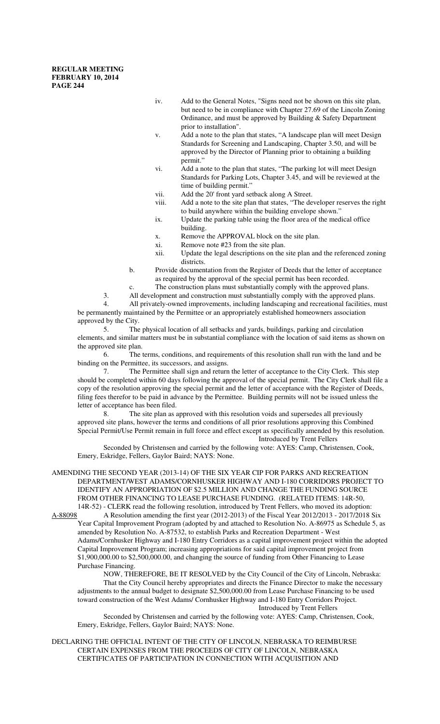- iv. Add to the General Notes, "Signs need not be shown on this site plan, but need to be in compliance with Chapter 27.69 of the Lincoln Zoning Ordinance, and must be approved by Building & Safety Department prior to installation".
- v. Add a note to the plan that states, "A landscape plan will meet Design Standards for Screening and Landscaping, Chapter 3.50, and will be approved by the Director of Planning prior to obtaining a building permit."
- vi. Add a note to the plan that states, "The parking lot will meet Design Standards for Parking Lots, Chapter 3.45, and will be reviewed at the time of building permit."
- vii. Add the 20' front yard setback along A Street.
- viii. Add a note to the site plan that states, "The developer reserves the right to build anywhere within the building envelope shown."
- ix. Update the parking table using the floor area of the medical office building.
- x. Remove the APPROVAL block on the site plan.
- xi. Remove note #23 from the site plan.
- xii. Update the legal descriptions on the site plan and the referenced zoning districts.
- b. Provide documentation from the Register of Deeds that the letter of acceptance as required by the approval of the special permit has been recorded.
- c. The construction plans must substantially comply with the approved plans.
- 3. All development and construction must substantially comply with the approved plans.

4. All privately-owned improvements, including landscaping and recreational facilities, must be permanently maintained by the Permittee or an appropriately established homeowners association approved by the City.

5. The physical location of all setbacks and yards, buildings, parking and circulation elements, and similar matters must be in substantial compliance with the location of said items as shown on the approved site plan.

6. The terms, conditions, and requirements of this resolution shall run with the land and be binding on the Permittee, its successors, and assigns.

7. The Permittee shall sign and return the letter of acceptance to the City Clerk. This step should be completed within 60 days following the approval of the special permit. The City Clerk shall file a copy of the resolution approving the special permit and the letter of acceptance with the Register of Deeds, filing fees therefor to be paid in advance by the Permittee. Building permits will not be issued unless the letter of acceptance has been filed.

8. The site plan as approved with this resolution voids and supersedes all previously approved site plans, however the terms and conditions of all prior resolutions approving this Combined Special Permit/Use Permit remain in full force and effect except as specifically amended by this resolution. Introduced by Trent Fellers

Seconded by Christensen and carried by the following vote: AYES: Camp, Christensen, Cook, Emery, Eskridge, Fellers, Gaylor Baird; NAYS: None.

AMENDING THE SECOND YEAR (2013-14) OF THE SIX YEAR CIP FOR PARKS AND RECREATION DEPARTMENT/WEST ADAMS/CORNHUSKER HIGHWAY AND I-180 CORRIDORS PROJECT TO IDENTIFY AN APPROPRIATION OF \$2.5 MILLION AND CHANGE THE FUNDING SOURCE FROM OTHER FINANCING TO LEASE PURCHASE FUNDING. (RELATED ITEMS: 14R-50, 14R-52) - CLERK read the following resolution, introduced by Trent Fellers, who moved its adoption:

A-88098 A Resolution amending the first year (2012-2013) of the Fiscal Year 2012/2013 - 2017/2018 Six Year Capital Improvement Program (adopted by and attached to Resolution No. A-86975 as Schedule 5, as amended by Resolution No. A-87532, to establish Parks and Recreation Department - West Adams/Cornhusker Highway and I-180 Entry Corridors as a capital improvement project within the adopted Capital Improvement Program; increasing appropriations for said capital improvement project from \$1,900,000.00 to \$2,500,000.00, and changing the source of funding from Other Financing to Lease Purchase Financing.

NOW, THEREFORE, BE IT RESOLVED by the City Council of the City of Lincoln, Nebraska: That the City Council hereby appropriates and directs the Finance Director to make the necessary adjustments to the annual budget to designate \$2,500,000.00 from Lease Purchase Financing to be used toward construction of the West Adams/ Cornhusker Highway and I-180 Entry Corridors Project. Introduced by Trent Fellers

Seconded by Christensen and carried by the following vote: AYES: Camp, Christensen, Cook, Emery, Eskridge, Fellers, Gaylor Baird; NAYS: None.

DECLARING THE OFFICIAL INTENT OF THE CITY OF LINCOLN, NEBRASKA TO REIMBURSE CERTAIN EXPENSES FROM THE PROCEEDS OF CITY OF LINCOLN, NEBRASKA CERTIFICATES OF PARTICIPATION IN CONNECTION WITH ACQUISITION AND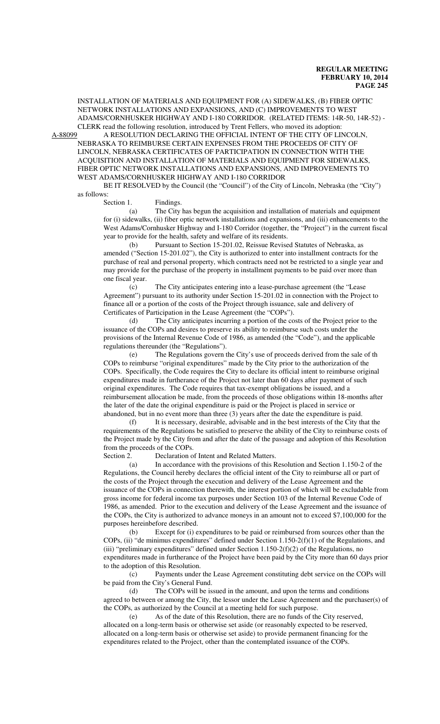INSTALLATION OF MATERIALS AND EQUIPMENT FOR (A) SIDEWALKS, (B) FIBER OPTIC NETWORK INSTALLATIONS AND EXPANSIONS, AND (C) IMPROVEMENTS TO WEST ADAMS/CORNHUSKER HIGHWAY AND I-180 CORRIDOR. (RELATED ITEMS: 14R-50, 14R-52) - CLERK read the following resolution, introduced by Trent Fellers, who moved its adoption:

A-88099 A RESOLUTION DECLARING THE OFFICIAL INTENT OF THE CITY OF LINCOLN, NEBRASKA TO REIMBURSE CERTAIN EXPENSES FROM THE PROCEEDS OF CITY OF LINCOLN, NEBRASKA CERTIFICATES OF PARTICIPATION IN CONNECTION WITH THE ACQUISITION AND INSTALLATION OF MATERIALS AND EQUIPMENT FOR SIDEWALKS, FIBER OPTIC NETWORK INSTALLATIONS AND EXPANSIONS, AND IMPROVEMENTS TO WEST ADAMS/CORNHUSKER HIGHWAY AND I-180 CORRIDOR

BE IT RESOLVED by the Council (the "Council") of the City of Lincoln, Nebraska (the "City") as follows:

Section 1. Findings.

(a) The City has begun the acquisition and installation of materials and equipment for (i) sidewalks, (ii) fiber optic network installations and expansions, and (iii) enhancements to the West Adams/Cornhusker Highway and I-180 Corridor (together, the "Project") in the current fiscal year to provide for the health, safety and welfare of its residents.

(b) Pursuant to Section 15-201.02, Reissue Revised Statutes of Nebraska, as amended ("Section 15-201.02"), the City is authorized to enter into installment contracts for the purchase of real and personal property, which contracts need not be restricted to a single year and may provide for the purchase of the property in installment payments to be paid over more than one fiscal year.

(c) The City anticipates entering into a lease-purchase agreement (the "Lease Agreement") pursuant to its authority under Section 15-201.02 in connection with the Project to finance all or a portion of the costs of the Project through issuance, sale and delivery of Certificates of Participation in the Lease Agreement (the "COPs").

(d) The City anticipates incurring a portion of the costs of the Project prior to the issuance of the COPs and desires to preserve its ability to reimburse such costs under the provisions of the Internal Revenue Code of 1986, as amended (the "Code"), and the applicable regulations thereunder (the "Regulations").

(e) The Regulations govern the City's use of proceeds derived from the sale of th COPs to reimburse "original expenditures" made by the City prior to the authorization of the COPs. Specifically, the Code requires the City to declare its official intent to reimburse original expenditures made in furtherance of the Project not later than 60 days after payment of such original expenditures. The Code requires that tax-exempt obligations be issued, and a reimbursement allocation be made, from the proceeds of those obligations within 18-months after the later of the date the original expenditure is paid or the Project is placed in service or abandoned, but in no event more than three (3) years after the date the expenditure is paid.

(f) It is necessary, desirable, advisable and in the best interests of the City that the requirements of the Regulations be satisfied to preserve the ability of the City to reimburse costs of the Project made by the City from and after the date of the passage and adoption of this Resolution from the proceeds of the COPs.

Section 2. Declaration of Intent and Related Matters.

(a) In accordance with the provisions of this Resolution and Section 1.150-2 of the Regulations, the Council hereby declares the official intent of the City to reimburse all or part of the costs of the Project through the execution and delivery of the Lease Agreement and the issuance of the COPs in connection therewith, the interest portion of which will be excludable from gross income for federal income tax purposes under Section 103 of the Internal Revenue Code of 1986, as amended. Prior to the execution and delivery of the Lease Agreement and the issuance of the COPs, the City is authorized to advance moneys in an amount not to exceed \$7,100,000 for the purposes hereinbefore described.

(b) Except for (i) expenditures to be paid or reimbursed from sources other than the COPs, (ii) "de minimus expenditures" defined under Section 1.150-2(f)(1) of the Regulations, and (iii) "preliminary expenditures" defined under Section 1.150-2(f)(2) of the Regulations, no expenditures made in furtherance of the Project have been paid by the City more than 60 days prior to the adoption of this Resolution.

(c) Payments under the Lease Agreement constituting debt service on the COPs will be paid from the City's General Fund.

(d) The COPs will be issued in the amount, and upon the terms and conditions agreed to between or among the City, the lessor under the Lease Agreement and the purchaser(s) of the COPs, as authorized by the Council at a meeting held for such purpose.

(e) As of the date of this Resolution, there are no funds of the City reserved, allocated on a long-term basis or otherwise set aside (or reasonably expected to be reserved, allocated on a long-term basis or otherwise set aside) to provide permanent financing for the expenditures related to the Project, other than the contemplated issuance of the COPs.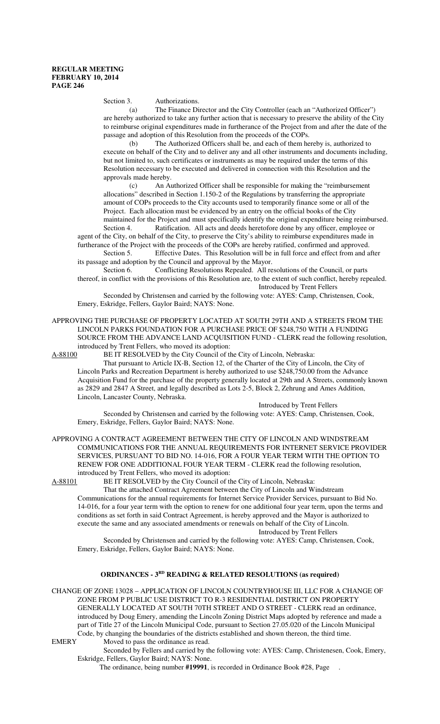Section 3. Authorizations.

(a) The Finance Director and the City Controller (each an "Authorized Officer") are hereby authorized to take any further action that is necessary to preserve the ability of the City to reimburse original expenditures made in furtherance of the Project from and after the date of the passage and adoption of this Resolution from the proceeds of the COPs.

(b) The Authorized Officers shall be, and each of them hereby is, authorized to execute on behalf of the City and to deliver any and all other instruments and documents including, but not limited to, such certificates or instruments as may be required under the terms of this Resolution necessary to be executed and delivered in connection with this Resolution and the approvals made hereby.

(c) An Authorized Officer shall be responsible for making the "reimbursement allocations" described in Section 1.150-2 of the Regulations by transferring the appropriate amount of COPs proceeds to the City accounts used to temporarily finance some or all of the Project. Each allocation must be evidenced by an entry on the official books of the City maintained for the Project and must specifically identify the original expenditure being reimbursed.

Section 4. Ratification. All acts and deeds heretofore done by any officer, employee or agent of the City, on behalf of the City, to preserve the City's ability to reimburse expenditures made in furtherance of the Project with the proceeds of the COPs are hereby ratified, confirmed and approved.

Section 5. Effective Dates. This Resolution will be in full force and effect from and after its passage and adoption by the Council and approval by the Mayor.

Section 6. Conflicting Resolutions Repealed. All resolutions of the Council, or parts thereof, in conflict with the provisions of this Resolution are, to the extent of such conflict, hereby repealed. Introduced by Trent Fellers

Seconded by Christensen and carried by the following vote: AYES: Camp, Christensen, Cook, Emery, Eskridge, Fellers, Gaylor Baird; NAYS: None.

APPROVING THE PURCHASE OF PROPERTY LOCATED AT SOUTH 29TH AND A STREETS FROM THE LINCOLN PARKS FOUNDATION FOR A PURCHASE PRICE OF \$248,750 WITH A FUNDING SOURCE FROM THE ADVANCE LAND ACQUISITION FUND - CLERK read the following resolution, introduced by Trent Fellers, who moved its adoption:

A-88100 BE IT RESOLVED by the City Council of the City of Lincoln, Nebraska:

That pursuant to Article IX-B, Section 12, of the Charter of the City of Lincoln, the City of Lincoln Parks and Recreation Department is hereby authorized to use \$248,750.00 from the Advance Acquisition Fund for the purchase of the property generally located at 29th and A Streets, commonly known as 2829 and 2847 A Street, and legally described as Lots 2-5, Block 2, Zehrung and Ames Addition, Lincoln, Lancaster County, Nebraska.

Introduced by Trent Fellers

Seconded by Christensen and carried by the following vote: AYES: Camp, Christensen, Cook, Emery, Eskridge, Fellers, Gaylor Baird; NAYS: None.

APPROVING A CONTRACT AGREEMENT BETWEEN THE CITY OF LINCOLN AND WINDSTREAM COMMUNICATIONS FOR THE ANNUAL REQUIREMENTS FOR INTERNET SERVICE PROVIDER SERVICES, PURSUANT TO BID NO. 14-016, FOR A FOUR YEAR TERM WITH THE OPTION TO RENEW FOR ONE ADDITIONAL FOUR YEAR TERM - CLERK read the following resolution, introduced by Trent Fellers, who moved its adoption:

A-88101 BE IT RESOLVED by the City Council of the City of Lincoln, Nebraska:

That the attached Contract Agreement between the City of Lincoln and Windstream Communications for the annual requirements for Internet Service Provider Services, pursuant to Bid No. 14-016, for a four year term with the option to renew for one additional four year term, upon the terms and conditions as set forth in said Contract Agreement, is hereby approved and the Mayor is authorized to execute the same and any associated amendments or renewals on behalf of the City of Lincoln. Introduced by Trent Fellers

Seconded by Christensen and carried by the following vote: AYES: Camp, Christensen, Cook, Emery, Eskridge, Fellers, Gaylor Baird; NAYS: None.

### **ORDINANCES - 3RD READING & RELATED RESOLUTIONS (as required)**

CHANGE OF ZONE 13028 – APPLICATION OF LINCOLN COUNTRYHOUSE III, LLC FOR A CHANGE OF ZONE FROM P PUBLIC USE DISTRICT TO R-3 RESIDENTIAL DISTRICT ON PROPERTY GENERALLY LOCATED AT SOUTH 70TH STREET AND O STREET - CLERK read an ordinance, introduced by Doug Emery, amending the Lincoln Zoning District Maps adopted by reference and made a part of Title 27 of the Lincoln Municipal Code, pursuant to Section 27.05.020 of the Lincoln Municipal Code, by changing the boundaries of the districts established and shown thereon, the third time.<br>EMERY Moved to pass the ordinance as read. Moved to pass the ordinance as read.

Seconded by Fellers and carried by the following vote: AYES: Camp, Christenesen, Cook, Emery, Eskridge, Fellers, Gaylor Baird; NAYS: None.

The ordinance, being number **#19991**, is recorded in Ordinance Book #28, Page .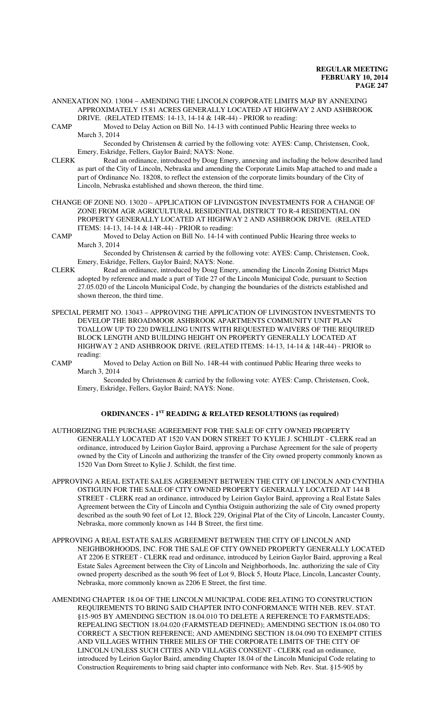- ANNEXATION NO. 13004 AMENDING THE LINCOLN CORPORATE LIMITS MAP BY ANNEXING APPROXIMATELY 15.81 ACRES GENERALLY LOCATED AT HIGHWAY 2 AND ASHBROOK DRIVE. (RELATED ITEMS: 14-13, 14-14 & 14R-44) - PRIOR to reading:
- CAMP Moved to Delay Action on Bill No. 14-13 with continued Public Hearing three weeks to March 3, 2014

Seconded by Christensen & carried by the following vote: AYES: Camp, Christensen, Cook, Emery, Eskridge, Fellers, Gaylor Baird; NAYS: None.

- CLERK Read an ordinance, introduced by Doug Emery, annexing and including the below described land as part of the City of Lincoln, Nebraska and amending the Corporate Limits Map attached to and made a part of Ordinance No. 18208, to reflect the extension of the corporate limits boundary of the City of Lincoln, Nebraska established and shown thereon, the third time.
- CHANGE OF ZONE NO. 13020 APPLICATION OF LIVINGSTON INVESTMENTS FOR A CHANGE OF ZONE FROM AGR AGRICULTURAL RESIDENTIAL DISTRICT TO R-4 RESIDENTIAL ON PROPERTY GENERALLY LOCATED AT HIGHWAY 2 AND ASHBROOK DRIVE. (RELATED ITEMS: 14-13, 14-14 & 14R-44) - PRIOR to reading:
- CAMP Moved to Delay Action on Bill No. 14-14 with continued Public Hearing three weeks to March 3, 2014

Seconded by Christensen & carried by the following vote: AYES: Camp, Christensen, Cook, Emery, Eskridge, Fellers, Gaylor Baird; NAYS: None.

- CLERK Read an ordinance, introduced by Doug Emery, amending the Lincoln Zoning District Maps adopted by reference and made a part of Title 27 of the Lincoln Municipal Code, pursuant to Section 27.05.020 of the Lincoln Municipal Code, by changing the boundaries of the districts established and shown thereon, the third time.
- SPECIAL PERMIT NO. 13043 APPROVING THE APPLICATION OF LIVINGSTON INVESTMENTS TO DEVELOP THE BROADMOOR ASHBROOK APARTMENTS COMMUNITY UNIT PLAN TOALLOW UP TO 220 DWELLING UNITS WITH REQUESTED WAIVERS OF THE REQUIRED BLOCK LENGTH AND BUILDING HEIGHT ON PROPERTY GENERALLY LOCATED AT HIGHWAY 2 AND ASHBROOK DRIVE. (RELATED ITEMS: 14-13, 14-14 & 14R-44) - PRIOR to reading:
- CAMP Moved to Delay Action on Bill No. 14R-44 with continued Public Hearing three weeks to March 3, 2014

Seconded by Christensen & carried by the following vote: AYES: Camp, Christensen, Cook, Emery, Eskridge, Fellers, Gaylor Baird; NAYS: None.

# **ORDINANCES - 1ST READING & RELATED RESOLUTIONS (as required)**

- AUTHORIZING THE PURCHASE AGREEMENT FOR THE SALE OF CITY OWNED PROPERTY GENERALLY LOCATED AT 1520 VAN DORN STREET TO KYLIE J. SCHILDT - CLERK read an ordinance, introduced by Leirion Gaylor Baird, approving a Purchase Agreement for the sale of property owned by the City of Lincoln and authorizing the transfer of the City owned property commonly known as 1520 Van Dorn Street to Kylie J. Schildt, the first time.
- APPROVING A REAL ESTATE SALES AGREEMENT BETWEEN THE CITY OF LINCOLN AND CYNTHIA OSTIGUIN FOR THE SALE OF CITY OWNED PROPERTY GENERALLY LOCATED AT 144 B STREET - CLERK read an ordinance, introduced by Leirion Gaylor Baird, approving a Real Estate Sales Agreement between the City of Lincoln and Cynthia Ostiguin authorizing the sale of City owned property described as the south 90 feet of Lot 12, Block 229, Original Plat of the City of Lincoln, Lancaster County, Nebraska, more commonly known as 144 B Street, the first time.
- APPROVING A REAL ESTATE SALES AGREEMENT BETWEEN THE CITY OF LINCOLN AND NEIGHBORHOODS, INC. FOR THE SALE OF CITY OWNED PROPERTY GENERALLY LOCATED AT 2206 E STREET - CLERK read and ordinance, introduced by Leirion Gaylor Baird, approving a Real Estate Sales Agreement between the City of Lincoln and Neighborhoods, Inc. authorizing the sale of City owned property described as the south 96 feet of Lot 9, Block 5, Houtz Place, Lincoln, Lancaster County, Nebraska, more commonly known as 2206 E Street, the first time.
- AMENDING CHAPTER 18.04 OF THE LINCOLN MUNICIPAL CODE RELATING TO CONSTRUCTION REQUIREMENTS TO BRING SAID CHAPTER INTO CONFORMANCE WITH NEB. REV. STAT. §15-905 BY AMENDING SECTION 18.04.010 TO DELETE A REFERENCE TO FARMSTEADS; REPEALING SECTION 18.04.020 (FARMSTEAD DEFINED); AMENDING SECTION 18.04.080 TO CORRECT A SECTION REFERENCE; AND AMENDING SECTION 18.04.090 TO EXEMPT CITIES AND VILLAGES WITHIN THREE MILES OF THE CORPORATE LIMITS OF THE CITY OF LINCOLN UNLESS SUCH CITIES AND VILLAGES CONSENT - CLERK read an ordinance, introduced by Leirion Gaylor Baird, amending Chapter 18.04 of the Lincoln Municipal Code relating to Construction Requirements to bring said chapter into conformance with Neb. Rev. Stat. §15-905 by